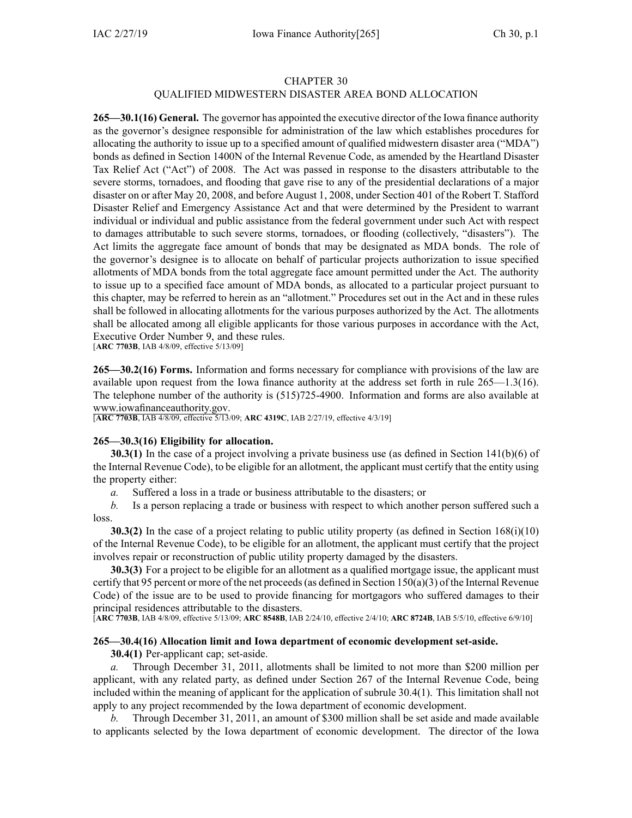## CHAPTER 30

# QUALIFIED MIDWESTERN DISASTER AREA BOND ALLOCATION

**265—30.1(16) General.** The governor has appointed the executive director of the Iowa finance authority as the governor's designee responsible for administration of the law which establishes procedures for allocating the authority to issue up to <sup>a</sup> specified amount of qualified midwestern disaster area ("MDA") bonds as defined in Section 1400N of the Internal Revenue Code, as amended by the Heartland Disaster Tax Relief Act ("Act") of 2008. The Act was passed in response to the disasters attributable to the severe storms, tornadoes, and flooding that gave rise to any of the presidential declarations of <sup>a</sup> major disaster on or after May 20, 2008, and before August 1, 2008, under Section 401 of the Robert T. Stafford Disaster Relief and Emergency Assistance Act and that were determined by the President to warrant individual or individual and public assistance from the federal governmen<sup>t</sup> under such Act with respec<sup>t</sup> to damages attributable to such severe storms, tornadoes, or flooding (collectively, "disasters"). The Act limits the aggregate face amount of bonds that may be designated as MDA bonds. The role of the governor's designee is to allocate on behalf of particular projects authorization to issue specified allotments of MDA bonds from the total aggregate face amount permitted under the Act. The authority to issue up to <sup>a</sup> specified face amount of MDA bonds, as allocated to <sup>a</sup> particular project pursuan<sup>t</sup> to this chapter, may be referred to herein as an "allotment." Procedures set out in the Act and in these rules shall be followed in allocating allotments for the various purposes authorized by the Act. The allotments shall be allocated among all eligible applicants for those various purposes in accordance with the Act, Executive Order Number 9, and these rules.

[**ARC [7703B](https://www.legis.iowa.gov/docs/aco/arc/7703B.pdf)**, IAB 4/8/09, effective 5/13/09]

**265—30.2(16) Forms.** Information and forms necessary for compliance with provisions of the law are available upon reques<sup>t</sup> from the Iowa finance authority at the address set forth in rule 265—1.3(16). The telephone number of the authority is (515)725-4900. Information and forms are also available at [www.iowafinanceauthority.gov](http://www.iowafinanceauthority.gov).

[**ARC [7703B](https://www.legis.iowa.gov/docs/aco/arc/7703B.pdf)**, IAB 4/8/09, effective 5/13/09; **ARC [4319C](https://www.legis.iowa.gov/docs/aco/arc/4319C.pdf)**, IAB 2/27/19, effective 4/3/19]

#### **265—30.3(16) Eligibility for allocation.**

**30.3(1)** In the case of a project involving a private business use (as defined in Section 141(b)(6) of the Internal Revenue Code), to be eligible for an allotment, the applicant must certify that the entity using the property either:

*a.* Suffered <sup>a</sup> loss in <sup>a</sup> trade or business attributable to the disasters; or

*b.* Is <sup>a</sup> person replacing <sup>a</sup> trade or business with respec<sup>t</sup> to which another person suffered such <sup>a</sup> loss.

**30.3(2)** In the case of <sup>a</sup> project relating to public utility property (as defined in Section 168(i)(10) of the Internal Revenue Code), to be eligible for an allotment, the applicant must certify that the project involves repair or reconstruction of public utility property damaged by the disasters.

**30.3(3)** For <sup>a</sup> project to be eligible for an allotment as <sup>a</sup> qualified mortgage issue, the applicant must certify that 95 percent or more of the net proceeds (as defined in Section 150(a)(3) of the Internal Revenue Code) of the issue are to be used to provide financing for mortgagors who suffered damages to their principal residences attributable to the disasters.

[**ARC [7703B](https://www.legis.iowa.gov/docs/aco/arc/7703B.pdf)**, IAB 4/8/09, effective 5/13/09; **ARC [8548B](https://www.legis.iowa.gov/docs/aco/arc/8548B.pdf)**, IAB 2/24/10, effective 2/4/10; **ARC [8724B](https://www.legis.iowa.gov/docs/aco/arc/8724B.pdf)**, IAB 5/5/10, effective 6/9/10]

## **265—30.4(16) Allocation limit and Iowa department of economic development set-aside.**

**30.4(1)** Per-applicant cap; set-aside.

*a.* Through December 31, 2011, allotments shall be limited to not more than \$200 million per applicant, with any related party, as defined under Section 267 of the Internal Revenue Code, being included within the meaning of applicant for the application of subrule 30.4(1). This limitation shall not apply to any project recommended by the Iowa department of economic development.

*b.* Through December 31, 2011, an amount of \$300 million shall be set aside and made available to applicants selected by the Iowa department of economic development. The director of the Iowa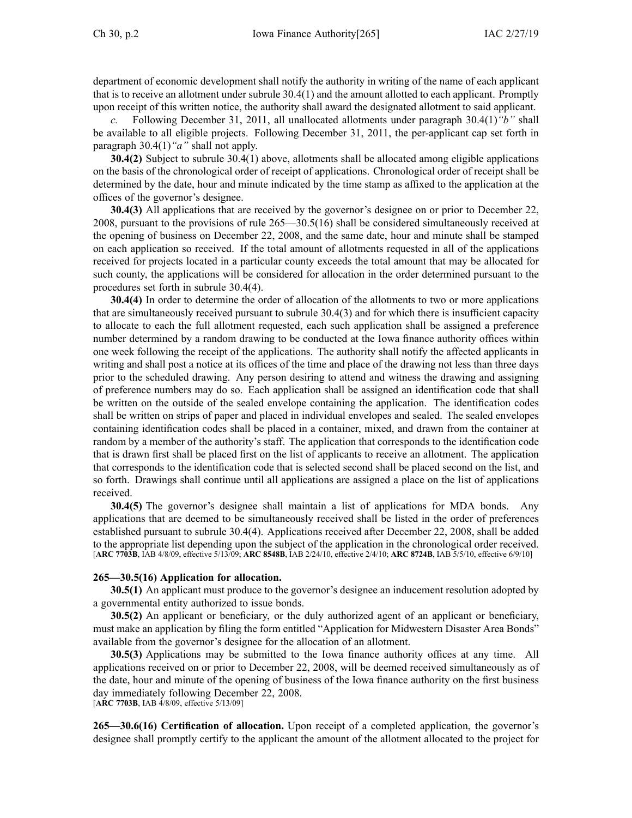department of economic development shall notify the authority in writing of the name of each applicant that is to receive an allotment under subrule 30.4(1) and the amount allotted to each applicant. Promptly upon receipt of this written notice, the authority shall award the designated allotment to said applicant.

*c.* Following December 31, 2011, all unallocated allotments under paragraph [30.4\(1\)](https://www.legis.iowa.gov/docs/iac/rule/265.30.4.pdf)*"b"* shall be available to all eligible projects. Following December 31, 2011, the per-applicant cap set forth in paragraph [30.4\(1\)](https://www.legis.iowa.gov/docs/iac/rule/265.30.4.pdf)*"a"* shall not apply.

**30.4(2)** Subject to subrule [30.4\(1\)](https://www.legis.iowa.gov/docs/iac/rule/265.30.4.pdf) above, allotments shall be allocated among eligible applications on the basis of the chronological order of receipt of applications. Chronological order of receipt shall be determined by the date, hour and minute indicated by the time stamp as affixed to the application at the offices of the governor's designee.

**30.4(3)** All applications that are received by the governor's designee on or prior to December 22, 2008, pursuan<sup>t</sup> to the provisions of rule [265—30.5](https://www.legis.iowa.gov/docs/iac/rule/265.30.5.pdf)(16) shall be considered simultaneously received at the opening of business on December 22, 2008, and the same date, hour and minute shall be stamped on each application so received. If the total amount of allotments requested in all of the applications received for projects located in <sup>a</sup> particular county exceeds the total amount that may be allocated for such county, the applications will be considered for allocation in the order determined pursuan<sup>t</sup> to the procedures set forth in subrule [30.4\(4\)](https://www.legis.iowa.gov/docs/iac/rule/265.30.4.pdf).

**30.4(4)** In order to determine the order of allocation of the allotments to two or more applications that are simultaneously received pursuan<sup>t</sup> to subrule [30.4\(3\)](https://www.legis.iowa.gov/docs/iac/rule/265.30.4.pdf) and for which there is insufficient capacity to allocate to each the full allotment requested, each such application shall be assigned <sup>a</sup> preference number determined by <sup>a</sup> random drawing to be conducted at the Iowa finance authority offices within one week following the receipt of the applications. The authority shall notify the affected applicants in writing and shall pos<sup>t</sup> <sup>a</sup> notice at its offices of the time and place of the drawing not less than three days prior to the scheduled drawing. Any person desiring to attend and witness the drawing and assigning of preference numbers may do so. Each application shall be assigned an identification code that shall be written on the outside of the sealed envelope containing the application. The identification codes shall be written on strips of paper and placed in individual envelopes and sealed. The sealed envelopes containing identification codes shall be placed in <sup>a</sup> container, mixed, and drawn from the container at random by <sup>a</sup> member of the authority's staff. The application that corresponds to the identification code that is drawn first shall be placed first on the list of applicants to receive an allotment. The application that corresponds to the identification code that is selected second shall be placed second on the list, and so forth. Drawings shall continue until all applications are assigned <sup>a</sup> place on the list of applications received.

**30.4(5)** The governor's designee shall maintain <sup>a</sup> list of applications for MDA bonds. Any applications that are deemed to be simultaneously received shall be listed in the order of preferences established pursuan<sup>t</sup> to subrule [30.4\(4\)](https://www.legis.iowa.gov/docs/iac/rule/265.30.4.pdf). Applications received after December 22, 2008, shall be added to the appropriate list depending upon the subject of the application in the chronological order received. [**ARC [7703B](https://www.legis.iowa.gov/docs/aco/arc/7703B.pdf)**, IAB 4/8/09, effective 5/13/09; **ARC [8548B](https://www.legis.iowa.gov/docs/aco/arc/8548B.pdf)**, IAB 2/24/10, effective 2/4/10; **ARC [8724B](https://www.legis.iowa.gov/docs/aco/arc/8724B.pdf)**, IAB 5/5/10, effective 6/9/10]

# **265—30.5(16) Application for allocation.**

**30.5(1)** An applicant must produce to the governor's designee an inducement resolution adopted by <sup>a</sup> governmental entity authorized to issue bonds.

**30.5(2)** An applicant or beneficiary, or the duly authorized agen<sup>t</sup> of an applicant or beneficiary, must make an application by filing the form entitled "Application for Midwestern Disaster Area Bonds" available from the governor's designee for the allocation of an allotment.

**30.5(3)** Applications may be submitted to the Iowa finance authority offices at any time. All applications received on or prior to December 22, 2008, will be deemed received simultaneously as of the date, hour and minute of the opening of business of the Iowa finance authority on the first business day immediately following December 22, 2008.

[**ARC [7703B](https://www.legis.iowa.gov/docs/aco/arc/7703B.pdf)**, IAB 4/8/09, effective 5/13/09]

**265—30.6(16) Certification of allocation.** Upon receipt of <sup>a</sup> completed application, the governor's designee shall promptly certify to the applicant the amount of the allotment allocated to the project for